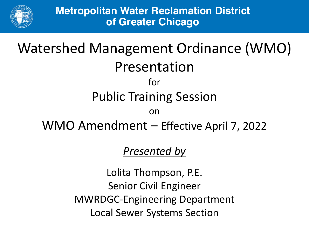

# Watershed Management Ordinance (WMO) Presentation for Public Training Session on WMO Amendment – Effective April 7, 2022

## *Presented by*

Lolita Thompson, P.E. Senior Civil Engineer MWRDGC-Engineering Department Local Sewer Systems Section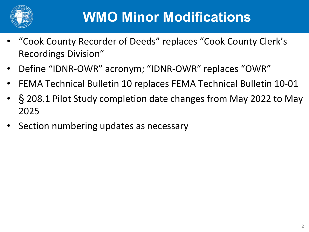

# **WMO Minor Modifications**

- "Cook County Recorder of Deeds" replaces "Cook County Clerk's Recordings Division"
- Define "IDNR-OWR" acronym; "IDNR-OWR" replaces "OWR"
- FEMA Technical Bulletin 10 replaces FEMA Technical Bulletin 10-01
- § 208.1 Pilot Study completion date changes from May 2022 to May 2025
- Section numbering updates as necessary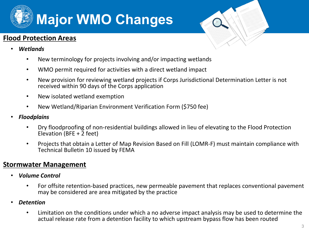

#### **Flood Protection Areas**



- *Wetlands*
	- New terminology for projects involving and/or impacting wetlands
	- WMO permit required for activities with a direct wetland impact
	- New provision for reviewing wetland projects if Corps Jurisdictional Determination Letter is not received within 90 days of the Corps application
	- New isolated wetland exemption
	- New Wetland/Riparian Environment Verification Form (\$750 fee)
- *Floodplains*
	- Dry floodproofing of non-residential buildings allowed in lieu of elevating to the Flood Protection Elevation (BFE +  $2$  feet)
	- Projects that obtain a Letter of Map Revision Based on Fill (LOMR-F) must maintain compliance with Technical Bulletin 10 issued by FEMA

#### **Stormwater Management**

- *Volume Control*
	- For offsite retention-based practices, new permeable pavement that replaces conventional pavement may be considered are area mitigated by the practice
- *Detention*
	- Limitation on the conditions under which a no adverse impact analysis may be used to determine the actual release rate from a detention facility to which upstream bypass flow has been routed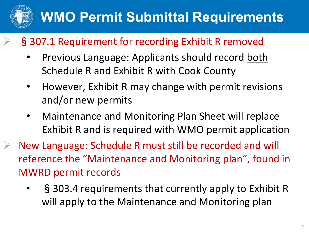

- §307.1 Requirement for recording Exhibit R removed
	- Previous Language: Applicants should record both Schedule R and Exhibit R with Cook County
	- However, Exhibit R may change with permit revisions and/or new permits
	- Maintenance and Monitoring Plan Sheet will replace Exhibit R and is required with WMO permit application
- New Language: Schedule R must still be recorded and will reference the "Maintenance and Monitoring plan", found in MWRD permit records
	- § 303.4 requirements that currently apply to Exhibit R will apply to the Maintenance and Monitoring plan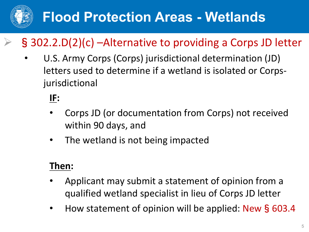

# **Flood Protection Areas - Wetlands**

# §302.2.D(2)(c) –Alternative to providing a Corps JD letter

• U.S. Army Corps (Corps) jurisdictional determination (JD) letters used to determine if a wetland is isolated or Corpsjurisdictional

## **IF:**

- Corps JD (or documentation from Corps) not received within 90 days, and
- The wetland is not being impacted

## **Then:**

- Applicant may submit a statement of opinion from a qualified wetland specialist in lieu of Corps JD letter
- How statement of opinion will be applied: New§603.4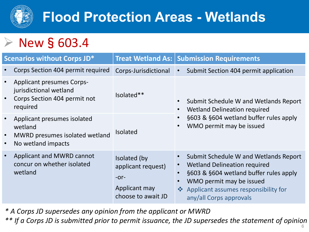

# **Flood Protection Areas - Wetlands**



| <b>Scenarios without Corps JD*</b>                                                                                  |                                                                                     | <b>Treat Wetland As:   Submission Requirements</b>                                                                                                                                                                                                               |
|---------------------------------------------------------------------------------------------------------------------|-------------------------------------------------------------------------------------|------------------------------------------------------------------------------------------------------------------------------------------------------------------------------------------------------------------------------------------------------------------|
| Corps Section 404 permit required                                                                                   | Corps-Jurisdictional                                                                | Submit Section 404 permit application<br>$\bullet$                                                                                                                                                                                                               |
| <b>Applicant presumes Corps-</b><br>jurisdictional wetland<br>Corps Section 404 permit not<br>$\bullet$<br>required | Isolated**                                                                          | Submit Schedule W and Wetlands Report<br>$\bullet$<br><b>Wetland Delineation required</b><br>$\bullet$                                                                                                                                                           |
| Applicant presumes isolated<br>wetland<br>MWRD presumes isolated wetland<br>$\bullet$<br>No wetland impacts         | Isolated                                                                            | §603 & §604 wetland buffer rules apply<br>WMO permit may be issued<br>$\bullet$                                                                                                                                                                                  |
| Applicant and MWRD cannot<br>concur on whether isolated<br>wetland                                                  | Isolated (by<br>applicant request)<br>$-0r-$<br>Applicant may<br>choose to await JD | Submit Schedule W and Wetlands Report<br><b>Wetland Delineation required</b><br>$\bullet$<br>§603 & §604 wetland buffer rules apply<br>$\bullet$<br>WMO permit may be issued<br>Applicant assumes responsibility for<br>$\frac{1}{2}$<br>any/all Corps approvals |

*\* A Corps JD supersedes any opinion from the applicant or MWRD*

*\*\* If a Corps JD is submitted prior to permit issuance, the JD supersedes the statement of opinion*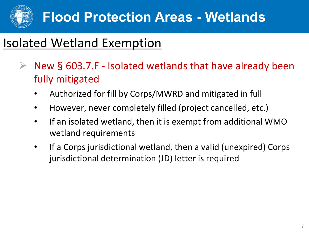

# Isolated Wetland Exemption

- $\triangleright$  New § 603.7.F Isolated wetlands that have already been fully mitigated
	- Authorized for fill by Corps/MWRD and mitigated in full
	- However, never completely filled (project cancelled, etc.)
	- If an isolated wetland, then it is exempt from additional WMO wetland requirements
	- If a Corps jurisdictional wetland, then a valid (unexpired) Corps jurisdictional determination (JD) letter is required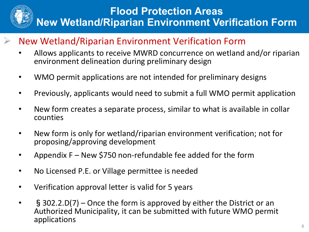

- New Wetland/Riparian Environment Verification Form
	- Allows applicants to receive MWRD concurrence on wetland and/or riparian environment delineation during preliminary design
- WMO permit applications are not intended for preliminary designs
- Previously, applicants would need to submit a full WMO permit application
- New form creates a separate process, similar to what is available in collar counties
- New form is only for wetland/riparian environment verification; not for proposing/approving development
- Appendix F New \$750 non-refundable fee added for the form
- No Licensed P.E. or Village permittee is needed
- Verification approval letter is valid for 5 years
- §302.2.D(7) Once the form is approved by either the District or an Authorized Municipality, it can be submitted with future WMO permit applications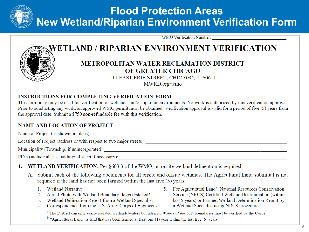

WMO Verification Number:

### WETLAND / RIPARIAN ENVIRONMENT VERIFICATION



#### **METROPOLITAN WATER RECLAMATION DISTRICT** OF GREATER CHICAGO

111 EAST ERIE STREET, CHICAGO, IL 60611 MWRD.org/wmo

#### **INSTRUCTIONS FOR COMPLETING VERIFICATION FORM**

This form may only be used for verification of wetlands and/or riparian environments. No work is authorized by this verification approval. Prior to conducting any work, an approved WMO permit must be obtained. Verification approval is valid for a period of five (5) years from the approval date. Submit a \$750 non-refundable fee with this verification.

#### **NAME AND LOCATION OF PROJECT**

Location of Project (address or with respect to two major streets):

PINs (include all, use additional sheet if necessary):

- **WETLAND VERIFICATION:** Per §603.3 of the WMO, an onsite wetland delineation is required.  $1<sub>1</sub>$ 
	- A. Submit each of the following documents for all onsite and offsite wetlands. The Agricultural Land submittal is not required if the land has not been farmed within the last five (5) years.
		- 1. Wetland Narrative
		- 2. Aerial Photo with Wetland Boundary flagged/staked<sup>a</sup>
		- 3. Wetland Delineation Report from a Wetland Specialist
		- 4. Correspondence from the U.S. Army Corps of Engineers
- 5. For Agricultural Land<sup>b</sup>, National Resources Conservation Service (NRCS) Certified Wetland Determination (within last 5 years) or Farmed Wetland Determination Report by a Wetland Specialist using NRCS procedures

<sup>a</sup> The District can only verify isolated wetlands/waters boundaries. Waters of the U.S. boundaries must be verified by the Corps.

 $<sup>b</sup>$  "Agricultural Land" is land that has been farmed at least one (1) year within the last five (5) years.</sup>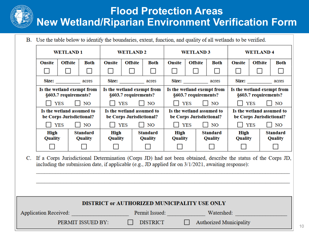B. Use the table below to identify the boundaries, extent, function, and quality of all wetlands to be verified.

|                        | <b>WETLAND1</b>                                                                                                                                                                                                      |                            | <b>WETLAND 2</b>                                      |                | <b>WETLAND 3</b>                                      |                 | <b>WETLAND4</b> |                                                       |                 |                       |                            |
|------------------------|----------------------------------------------------------------------------------------------------------------------------------------------------------------------------------------------------------------------|----------------------------|-------------------------------------------------------|----------------|-------------------------------------------------------|-----------------|-----------------|-------------------------------------------------------|-----------------|-----------------------|----------------------------|
| Onsite                 | <b>Offsite</b>                                                                                                                                                                                                       | Both                       | <b>Onsite</b>                                         | <b>Offsite</b> | <b>Both</b>                                           | <b>Onsite</b>   | <b>Offsite</b>  | <b>Both</b>                                           | <b>Onsite</b>   | <b>Offsite</b>        | <b>Both</b>                |
|                        |                                                                                                                                                                                                                      |                            | $\Box$                                                | $\Box$         | $\Box$                                                | $\Box$          |                 |                                                       |                 |                       |                            |
|                        |                                                                                                                                                                                                                      |                            |                                                       |                |                                                       |                 | Size: acres     |                                                       |                 | Size: $\qquad \qquad$ | acres                      |
|                        | Is the wetland exempt from<br>Is the wetland exempt from<br>Is the wetland exempt from<br>Is the wetland exempt from<br>§603.7 requirements?<br>§603.7 requirements?<br>§603.7 requirements?<br>§603.7 requirements? |                            |                                                       |                |                                                       |                 |                 |                                                       |                 |                       |                            |
|                        | <b>YES</b>                                                                                                                                                                                                           | $\vert$ $\vert$ NO         |                                                       | <b>YES</b>     | NO                                                    |                 | <b>YES</b>      | NO                                                    |                 | <b>YES</b>            | NO                         |
|                        | Is the wetland assumed to<br>be Corps Jurisdictional?                                                                                                                                                                |                            | Is the wetland assumed to<br>be Corps Jurisdictional? |                | Is the wetland assumed to<br>be Corps Jurisdictional? |                 |                 | Is the wetland assumed to<br>be Corps Jurisdictional? |                 |                       |                            |
| $\Box$ YES             |                                                                                                                                                                                                                      | $\vert$ NO                 |                                                       | YES            | $\vert$ $\vert$ NO                                    |                 | <b>YES</b>      | $\vert$ $\vert$ NO                                    |                 | <b>YES</b>            | NO                         |
| High<br><b>Quality</b> |                                                                                                                                                                                                                      | <b>Standard</b><br>Quality | High<br><b>Quality</b>                                |                | <b>Standard</b><br>Quality                            | High<br>Quality |                 | <b>Standard</b><br>Quality                            | High<br>Quality |                       | <b>Standard</b><br>Quality |
|                        |                                                                                                                                                                                                                      |                            |                                                       |                |                                                       |                 |                 |                                                       |                 |                       |                            |

C. If a Corps Jurisdictional Determination (Corps JD) had not been obtained, describe the status of the Corps JD, including the submission date, if applicable (e.g., JD applied for on  $3/1/2021$ , awaiting response):

| DISTRICT or AUTHORIZED MUNICIPALITY USE ONLY |                              |                 |                                                |  |  |
|----------------------------------------------|------------------------------|-----------------|------------------------------------------------|--|--|
|                                              | <b>Application Received:</b> | Permit Issued:  | Watershed:                                     |  |  |
|                                              | PERMIT ISSUED BY:            | <b>DISTRICT</b> | <b>Authorized Municipality</b><br>$\mathbf{I}$ |  |  |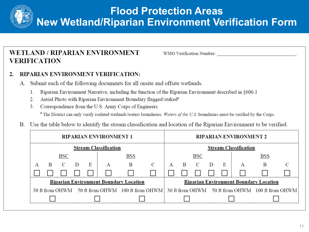

### **WETLAND / RIPARIAN ENVIRONMENT VERIFICATION**

WMO Verification Number:

#### **RIPARIAN ENVIRONMENT VERIFICATION:**  $2.$

- Submit each of the following documents for all onsite and offsite wetlands. А.
	- $1<sup>1</sup>$ Riparian Environment Narrative, including the function of the Riparian Environment described in §606.1
	- Aerial Photo with Riparian Environment Boundary flagged/staked<sup>a</sup>  $2.$
	- $3.$ Correspondence from the U.S. Army Corps of Engineers <sup>a</sup> The District can only verify isolated wetlands/waters boundaries. Waters of the U.S. boundaries must be verified by the Corps.
- B. Use the table below to identify the stream classification and location of the Riparian Environment to be verified.

| <b>RIPARIAN ENVIRONMENT 1</b>                 | <b>RIPARIAN ENVIRONMENT 2</b>                                                                     |                                               |  |  |
|-----------------------------------------------|---------------------------------------------------------------------------------------------------|-----------------------------------------------|--|--|
| <b>Stream Classification</b>                  | <b>Stream Classification</b>                                                                      |                                               |  |  |
| BSS                                           | <b>BSC</b>                                                                                        | <b>BSS</b>                                    |  |  |
| B<br>C<br>A                                   | $\mathbf{C}$<br>$\mathbf{B}$<br>$\mathbf{D}$<br>A<br>Ε                                            | B<br>A                                        |  |  |
|                                               |                                                                                                   |                                               |  |  |
| <b>Riparian Environment Boundary Location</b> |                                                                                                   |                                               |  |  |
|                                               | 30 ft from OHWM 50 ft from OHWM 100 ft from OHWM 30 ft from OHWM 50 ft from OHWM 100 ft from OHWM |                                               |  |  |
|                                               |                                                                                                   |                                               |  |  |
|                                               |                                                                                                   | <b>Riparian Environment Boundary Location</b> |  |  |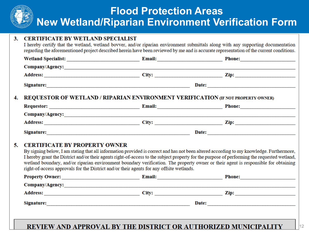#### **CERTIFICATE BY WETLAND SPECIALIST** 3.

I hereby certify that the wetland, wetland bovver, and/or riparian environment submittals along with any supporting documentation regarding the aforementioned project described herein have been reviewed by me and is accurate representation of the current conditions.

|                                                                                     | Phone:                                                                                                                                                                                                                         |
|-------------------------------------------------------------------------------------|--------------------------------------------------------------------------------------------------------------------------------------------------------------------------------------------------------------------------------|
|                                                                                     |                                                                                                                                                                                                                                |
|                                                                                     | $\mathbf{Zip:}$                                                                                                                                                                                                                |
|                                                                                     | Date:                                                                                                                                                                                                                          |
| 4. REQUESTOR OF WETLAND / RIPARIAN ENVIRONMENT VERIFICATION (IF NOT PROPERTY OWNER) |                                                                                                                                                                                                                                |
|                                                                                     | Requestor: Phone: Phone: Phone: Phone: Phone: Phone: Phone: Phone: Phone: Phone: Phone: Phone: Phone: Phone: Phone: Phone: Phone: Phone: Phone: Phone: Phone: Phone: Phone: Phone: Phone: Phone: Phone: Phone: Phone: Phone: P |
|                                                                                     |                                                                                                                                                                                                                                |
|                                                                                     | City: Zip:                                                                                                                                                                                                                     |
|                                                                                     |                                                                                                                                                                                                                                |

#### 5. **CERTIFICATE BY PROPERTY OWNER**

By signing below, I am stating that all information provided is correct and has not been altered according to my knowledge. Furthermore, I hereby grant the District and/or their agents right-of-access to the subject property for the purpose of performing the requested wetland, wetland boundary, and/or riparian environment boundary verification. The property owner or their agent is responsible for obtaining right-of-access approvals for the District and/or their agents for any offsite wetlands.

| <b>Property Owner:</b> | <b>Email:</b> | <b>Phone:</b> |
|------------------------|---------------|---------------|
| Company/Agency:        |               |               |
| <b>Address:</b>        | City:         | Zip:          |
| <b>Signature:</b>      | Date:         |               |
|                        |               |               |

#### REVIEW AND APPROVAL BY THE DISTRICT OR AUTHORIZED MUNICIPALITY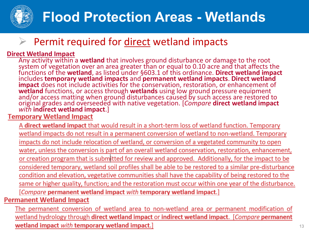

# **Flood Protection Areas - Wetlands**

## Permit required for direct wetland impacts

**Direct Wetland Impact**<br>Any activity within a **wetland** that involves ground disturbance or damage to the root Any action area within a reader than or equal to 0.10 acre and that affects the functions of the **wetland**, as listed under §603.1 of this ordinance. **Direct wetland impact** functions of the **wetland**, as listed under §603.1 of this ordinance. **Direct wetland impact** includes **temporary wetland impacts** and **permanent wetland impacts**. **Direct wetland impact** does not include activities for the conservation, restoration, or enhancement of **wetland** functions, or access through **wetlands** using low ground pressure equipment and/or access matting when ground disturbances caused by such access are restored to original grades and overseeded with native vegetation. [*Compare* **direct wetland impact** *with* **indirect wetland impact**.]

A direct wetland impact that would result in a short-term loss of wetland function. Temporary wetland impacts do not result in a permanent conversion of wetland to non-wetland. Temporary impacts do not include relocation of wetland, or conversion of a vegetated community to open water, unless the conversion is part of an overall wetland conservation, restoration, enhancement, or creation program that is submitted for review and approved. Additionally, for the impact to be considered temporary, wetland soil profiles shall be able to be restored to a similar pre-disturbance condition and elevation, vegetative communities shall have the capability of being restored to the same or higher quality, function; and the restoration must occur within one year of the disturbance. [Compare permanent wetland impact with temporary wetland impact.] **Permanent Wetland Impact** 

The permanent conversion of wetland area to non-wetland area or permanent modification of wetland hydrology through direct wetland impact or indirect wetland impact. [Compare permanent wetland impact with temporary wetland impact.]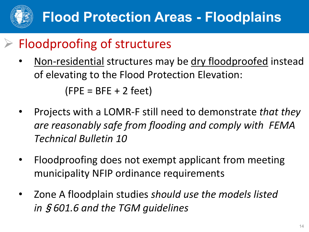

# Floodproofing of structures

- Non-residential structures may be dry floodproofed instead of elevating to the Flood Protection Elevation:  $(FPE = BFE + 2 feet)$
- Projects with a LOMR-F still need to demonstrate *that they are reasonably safe from flooding and comply with FEMA Technical Bulletin 10*
- Floodproofing does not exempt applicant from meeting municipality NFIP ordinance requirements
- Zone A floodplain studies *should use the models listed in*§*601.6 and the TGM guidelines*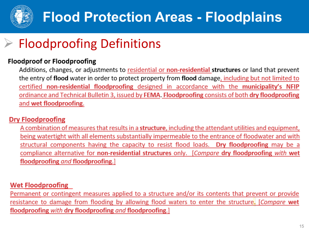

# **Flood Protection Areas - Floodplains**

# Floodproofing Definitions

#### **Floodproof or Floodproofing**

Additions, changes, or adjustments to residential or non-residential structures or land that prevent the entry of flood water in order to protect property from flood damage, including but not limited to certified non-residential floodproofing designed in accordance with the municipality's NFIP ordinance and Technical Bulletin 3, issued by FEMA. Floodproofing consists of both dry floodproofing and wet floodproofing.

#### **Dry Floodproofing**

A combination of measures that results in a **structure**, including the attendant utilities and equipment, being watertight with all elements substantially impermeable to the entrance of floodwater and with structural components having the capacity to resist flood loads. Dry floodproofing may be a compliance alternative for non-residential structures only. [Compare dry floodproofing with wet floodproofing and floodproofing.]

#### **Wet Floodproofing**

Permanent or contingent measures applied to a structure and/or its contents that prevent or provide resistance to damage from flooding by allowing flood waters to enter the structure. [Compare wet floodproofing with dry floodproofing and floodproofing.]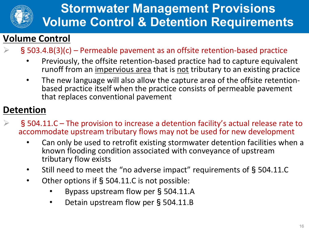

## **Stormwater Management Provisions Volume Control & Detention Requirements**

## **Volume Control**

- §503.4.B(3)(c) Permeable pavement as an offsite retention-based practice
	- Previously, the offsite retention-based practice had to capture equivalent runoff from an impervious area that is not tributary to an existing practice
	- The new language will also allow the capture area of the offsite retention-<br>based practice itself when the practice consists of permeable pavement that replaces conventional pavement

## **Detention**

- §504.11.C The provision to increase a detention facility's actual release rate to accommodate upstream tributary flows may not be used for new development
	- Can only be used to retrofit existing stormwater detention facilities when a known flooding condition associated with conveyance of upstream tributary flow exists
	- Still need to meet the "no adverse impact" requirements of §504.11.C
	- Other options if§504.11.C is not possible:
		- Bypass upstream flow per§504.11.A
		- Detain upstream flow per § 504.11.B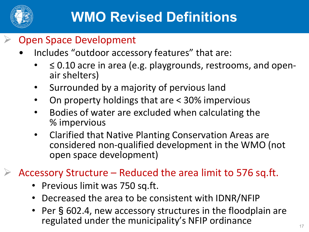

## Open Space Development

- Includes "outdoor accessory features" that are:
	- ≤ 0.10 acre in area (e.g. playgrounds, restrooms, and open- air shelters)
	- Surrounded by a majority of pervious land
	- On property holdings that are < 30% impervious
	- Bodies of water are excluded when calculating the % impervious
	- Clarified that Native Planting Conservation Areas are considered non-qualified development in the WMO (not open space development)

Accessory Structure – Reduced the area limit to 576 sq.ft.

- Previous limit was 750 sq.ft.
- Decreased the area to be consistent with IDNR/NFIP
- Per §602.4, new accessory structures in the floodplain are regulated under the municipality's NFIP ordinance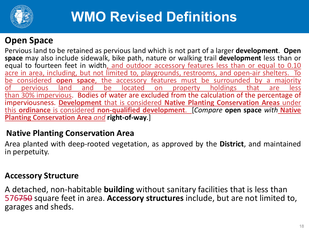

# **WMO Revised Definitions**

### **Open Space**

Pervious land to be retained as pervious land which is not part of a larger **development**. **Open space** may also include sidewalk, bike path, nature or walking trail **development** less than or equal to fourteen feet in width, and outdoor accessory features less than or equal to 0.10 acre in area, including, but not limited to, playgrounds, restrooms, and open-air shelters. To be considered **open space**, the accessory features must be surrounded by a majority of pervious land and be located on property holdings that are less than 30% impervious. Bodies of water are excluded from the calculation of the percentage of imperviousness. **Development** that is considered **Native Planting Conservation Areas** under this **ordinance** is considered **non-qualified development**. [*Compare* **open space** *with* **Native Planting Conservation Area** *and* **right-of-way**.]

### **Native Planting Conservation Area**

Area planted with deep-rooted vegetation, as approved by the **District**, and maintained in perpetuity.

### **Accessory Structure**

A detached, non-habitable **building** without sanitary facilities that is less than 576750 square feet in area. **Accessory structures** include, but are not limited to, garages and sheds.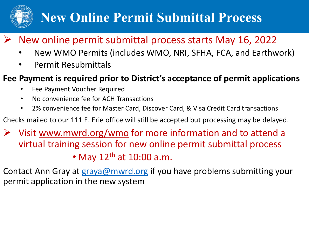

# **New Online Permit Submittal Process**

## New online permit submittal process starts May 16, 2022

- New WMO Permits (includes WMO, NRI, SFHA, FCA, and Earthwork)
- Permit Resubmittals

## **Fee Payment is required prior to District's acceptance of permit applications**

- Fee Payment Voucher Required
- No convenience fee for ACH Transactions
- 2% convenience fee for Master Card, Discover Card, & Visa Credit Card transactions
- Checks mailed to our 111 E. Erie office will still be accepted but processing may be delayed.
- $\triangleright$  Visit [www.mwrd.org/wmo](http://www.mwrd.org/wmoto) for more information and to attend a virtual training session for new online permit submittal process

• May  $12<sup>th</sup>$  at  $10:00$  a.m.

Contact Ann Gray at [graya@mwrd.org](mailto:graya@mwrd.org) if you have problems submitting your permit application in the new system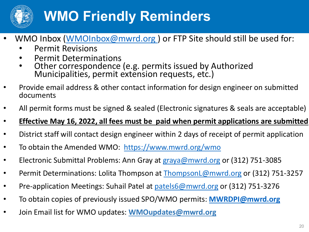

# **WMO Friendly Reminders**

- WMO Inbox (WMOInbox@mwrd.org) or FTP Site should still be used for:
	- Permit Revisions
	- Permit Determinations
	- Other correspondence (e.g. permits issued by Authorized Municipalities, permit extension requests, etc.)
- Provide email address & other contact information for design engineer on submitted documents
- All permit forms must be signed & sealed (Electronic signatures & seals are acceptable)
- **Effective May 16, 2022, all fees must be paid when permit applications are submitted**
- District staff will contact design engineer within 2 days of receipt of permit application
- To obtain the Amended WMO: <https://www.mwrd.org/wmo>
- Electronic Submittal Problems: Ann Gray at [graya@mwrd.org](mailto:graya@mwrd.org) or (312) 751-3085
- Permit Determinations: Lolita Thompson at **ThompsonL@mwrd.org** or (312) 751-3257
- Pre-application Meetings: Suhail Patel at [patels6@mwrd.org](mailto:patels6@mwrd.org) or (312) 751-3276
- To obtain copies of previously issued SPO/WMO permits: **[MWRDPI@mwrd.org](mailto:MWRDPI@mwrd.org)**
- Join Email list for WMO updates: **[WMOupdates@mwrd.org](mailto:WMOupdates@mwrd.org)**